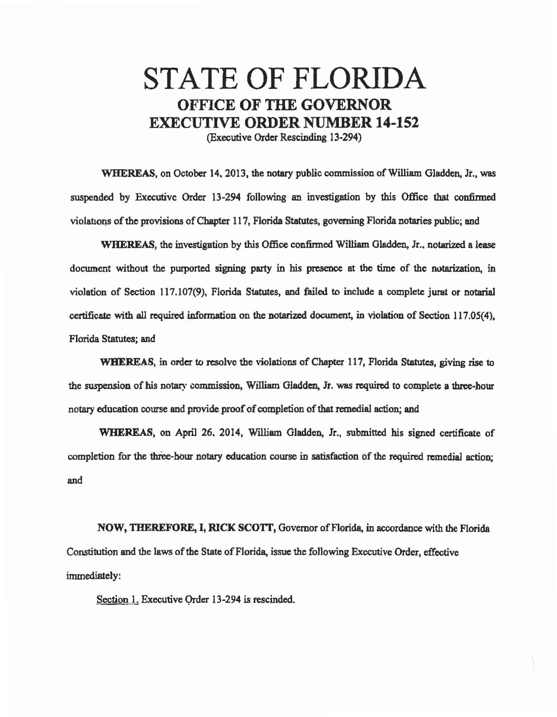## STATE OF FLORIDA OFFICE **OF THE GOVERNOR**  EXECUTIVE **ORDER** NUMBER **14-152**

(Executive Order Rescinding 13·294)

WHEREAS, on October 14, 2013, the notary public commission of William Gladden, Jr., was suspended by Executive Order 13·294 following an investigation by this Office that confinned violations of the provisions of Chapter 117, Florida Statutes, governing Florida notaries public; and

WHEREAS, the investigation by this Office confirmed William Gladden, Jr., notarized a lease document without the purported signing party in his presence at the time of the notarization, in violation of Section 117 .107(9), Florida Statutes, and failed to include a complete jurat or notarial certificate with all required infonnation on the notarized document, in violation of Section 117.05(4), Florida Statutes; and

WHEREAS, in order to resolve the violations of Chapter 117, Florida Statutes, giving rise to the suspension of his notary commission, William Gladden, Jr. was required to complete a three-hour notary education course and provide proof of completion of that remedial action; and

WHEREAS, on April 26, 2014, William Gladden, Jr., submitted his signed certificate of completion for the three-hour notary education course in satisfaction of the required remedial action; and

NOW, THEREFORE, I, RICK SCOIT, Governor of Florida, in accordance with the Florida Constitution and the laws of the State of Florida, issue the following Executive Order, effective immediately:

Section 1. Executive Order 13-294 is rescinded.